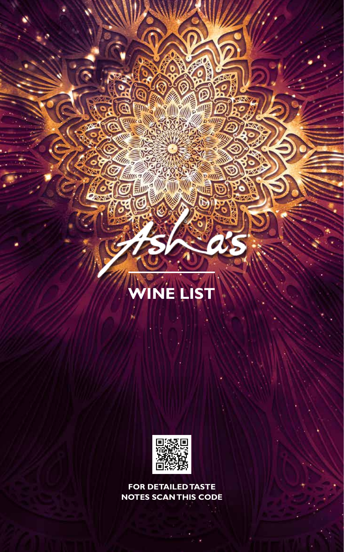# **INE LIST**

**ANTE** 

**DE** ۹

**ESSAGE DE** 

 $\frac{1}{2}$ 

**Alli** 

**MAGES** 

三門の

ă

**A**<br>Mil

G١

当

**STUDIOS** 

a

d



**FOR DETAILED TASTE NOTES SCAN THIS CODE**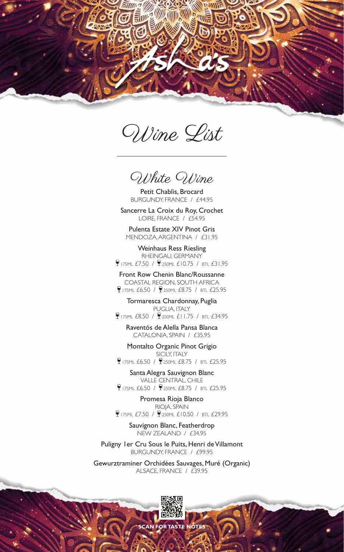

Wine List

White Wine

Petit Chablis, Brocard BURGUNDY, FRANCE / £44.95

Sancerre La Croix du Roy, Crochet LOIRE, FRANCE / £54.95

Pulenta Estate XIV Pinot Gris MENDOZA, ARGENTINA / £31.95

Weinhaus Ress Riesling RHEINGAU, GERMANY 175ML £7.50 / 250ML £10.75 / BTL £31.95

Front Row Chenin Blanc/Roussanne COASTAL REGION, SOUTH AFRICA **175ML £6.50 / 250ML £8.75 / BTL £25.95** 

Tormaresca Chardonnay, Puglia PUGLIA, ITALY 175ML £8.50 / 250ML £11.75 / BTL £34.95

Raventós de Alella Pansa Blanca CATALONIA, SPAIN / £35.95

Montalto Organic Pinot Grigio SICILY, ITALY **175ML £6.50 / 250ML £8.75 / BTL £25.95** 

Santa Alegra Sauvignon Blanc VALLE CENTRAL, CHILE **175ML £6.50 / 250ML £8.75 / BTL £25.95** 

Promesa Rioja Blanco RIOJA, SPAIN  $9175M$ L £7.50 /  $9250M$ L £10.50 / BTL £29.95

Sauvignon Blanc, Featherdrop NEW ZEALAND / £34.95

Puligny 1er Cru Sous le Puits, Henri de Villamont BURGUNDY, FRANCE / £99.95

Gewurztraminer Orchidées Sauvages, Muré (Organic) ALSACE, FRANCE / £39.95



**SCAN FOR TASTE**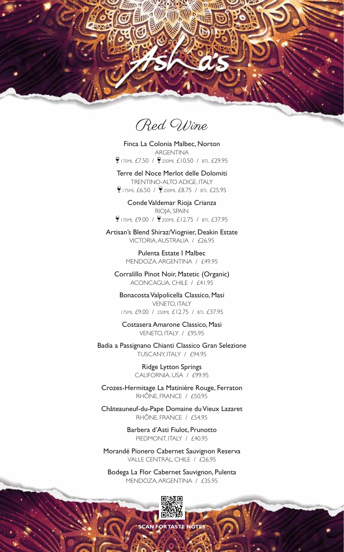

Red Wine

Finca La Colonia Malbec, Norton ARGENTINA 175ML £7.50 / 250ML £10.50 / BTL £29.95

Terre del Noce Merlot delle Dolomiti TRENTINO-ALTO ADIGE, ITALY **9 175ML £6.50 / 9 250ML £8.75 / BTL £25.95** 

Conde Valdemar Rioja Crianza RIOJA, SPAIN 175ML £9.00 / 250ML £12.75 / BTL £37.95

Artisan's Blend Shiraz/Viognier, Deakin Estate VICTORIA, AUSTRALIA / £26.95

> Pulenta Estate I Malbec MENDOZA, ARGENTINA / £49.95

Corralillo Pinot Noir, Matetic (Organic) ACONCAGUA, CHILE / £41.95

Bonacosta Valpolicella Classico, Masi VENETO, ITALY 175ML £9.00 / 250ML £12.75 / BTL £37.95

Costasera Amarone Classico, Masi VENETO, ITALY / £95.95

Badia a Passignano Chianti Classico Gran Selezione TUSCANY, ITALY / £94.95

> Ridge Lytton Springs CALIFORNIA, USA / £99.95

Crozes-Hermitage La Matinière Rouge, Ferraton RHÔNE, FRANCE / £50.95

Châteauneuf-du-Pape Domaine du Vieux Lazaret RHÔNE, FRANCE / £54.95

> Barbera d'Asti Fiulot, Prunotto PIEDMONT, ITALY / £40.95

Morandé Pionero Cabernet Sauvignon Reserva VALLE CENTRAL, CHILE / £26.95

Bodega La Flor Cabernet Sauvignon, Pulenta MENDOZA, ARGENTINA / £35.95



**CAN FOR TASTE**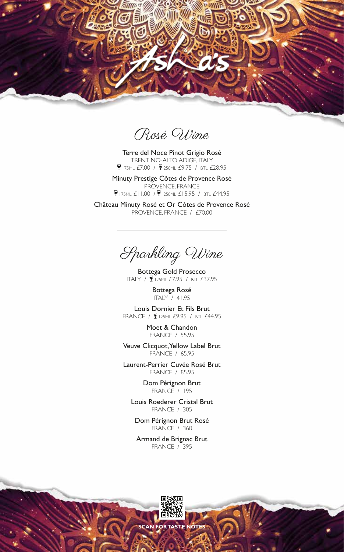

Rosé Wine

Terre del Noce Pinot Grigio Rosé TRENTINO-ALTO ADIGE, ITALY **175ML £7.00 / 250ML £9.75 / BTL £28.95** 

Minuty Prestige Côtes de Provence Rosé PROVENCE, FRANCE  $9175ML$  £11.00 /  $9250ML$  £15.95 / BTL £44.95

Château Minuty Rosé et Or Côtes de Provence Rosé PROVENCE, FRANCE / £70.00

Sparkling Wine

Bottega Gold Prosecco ITALY / 125ML £7.95 / BTL £37.95

Bottega Rosé ITALY / 41.95

Louis Dornier Et Fils Brut FRANCE / 9125ML £9.95 / BTL £44.95

> Moet & Chandon FRANCE / 55.95

Veuve Clicquot, Yellow Label Brut FRANCE / 65.95

Laurent-Perrier Cuvée Rosé Brut FRANCE / 85.95

> Dom Pérignon Brut FRANCE / 195

Louis Roederer Cristal Brut FRANCE / 305

Dom Pérignon Brut Rosé FRANCE / 360

Armand de Brignac Brut FRANCE / 395

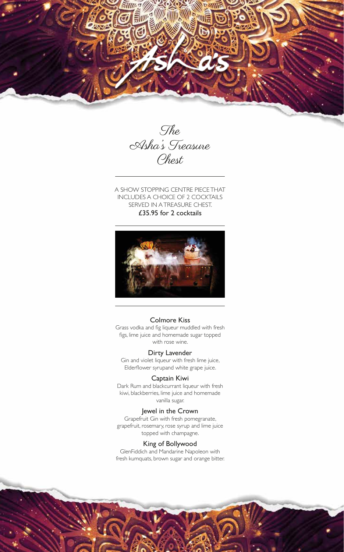



A SHOW STOPPING CENTRE PIECE THAT INCLUDES A CHOICE OF 2 COCKTAILS SERVED IN A TREASURE CHEST. £35.95 for 2 cocktails



# Colmore Kiss

Grass vodka and fig liqueur muddled with fresh figs, lime juice and homemade sugar topped with rose wine.

#### Dirty Lavender

Gin and violet liqueur with fresh lime juice, Elderflower syrupand white grape juice.

#### Captain Kiwi

Dark Rum and blackcurrant liqueur with fresh kiwi, blackberries, lime juice and homemade vanilla sugar.

#### Jewel in the Crown

Grapefruit Gin with fresh pomegranate, grapefruit, rosemary, rose syrup and lime juice topped with champagne.

# King of Bollywood

GlenFiddich and Mandarine Napoleon with fresh kumquats, brown sugar and orange bitter.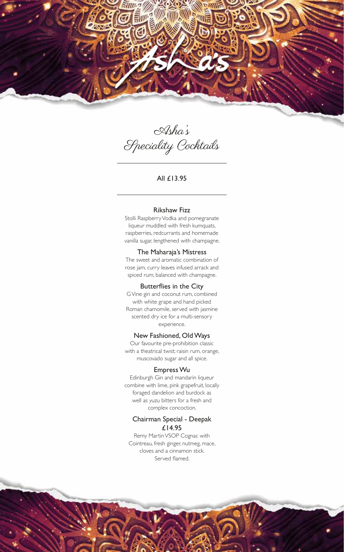

Asha's Speciality Cocktails

All £13.95

#### Rikshaw Fizz

Stolli Raspberry Vodka and pomegranate liqueur muddled with fresh kumquats, raspberries, redcurrants and homemade vanilla sugar, lengthened with champagne.

#### The Maharaja's Mistress

The sweet and aromatic combination of rose jam, curry leaves infused arrack and spiced rum, balanced with champagne.

#### Butterflies in the City

G Vine gin and coconut rum, combined with white grape and hand picked Roman chamomile, served with jasmine scented dry ice for a multi-sensory experience.

#### New Fashioned, Old Ways

Our favourite pre-prohibition classic with a theatrical twist; raisin rum, orange, muscovado sugar and all spice.

#### Empress Wu

Edinburgh Gin and mandarin liqueur combine with lime, pink grapefruit, locally foraged dandelion and burdock as well as yuzu bitters for a fresh and complex concoction.

#### Chairman Special - Deepak £14.95

Remy Martin VSOP Cognac with Cointreau, fresh ginger, nutmeg, mace, cloves and a cinnamon stick. Served flamed.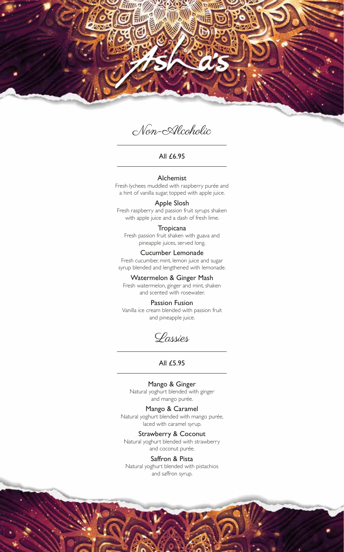

Non-Alcoholic

#### All £6.95

#### Alchemist

Fresh lychees muddled with raspberry purée and a hint of vanilla sugar, topped with apple juice.

Apple Slosh Fresh raspberry and passion fruit syrups shaken with apple juice and a dash of fresh lime.

**Tropicana** Fresh passion fruit shaken with guava and pineapple juices, served long.

Cucumber Lemonade Fresh cucumber, mint, lemon juice and sugar

syrup blended and lengthened with lemonade.

Watermelon & Ginger Mash Fresh watermelon, ginger and mint, shaken and scented with rosewater.

Passion Fusion Vanilla ice cream blended with passion fruit and pineapple juice.

Lassies

# All £5.95

Mango & Ginger Natural yoghurt blended with ginger

and mango purée.

Mango & Caramel Natural yoghurt blended with mango purée, laced with caramel syrup.

Strawberry & Coconut Natural yoghurt blended with strawberry and coconut purée.

Saffron & Pista Natural yoghurt blended with pistachios and saffron syrup.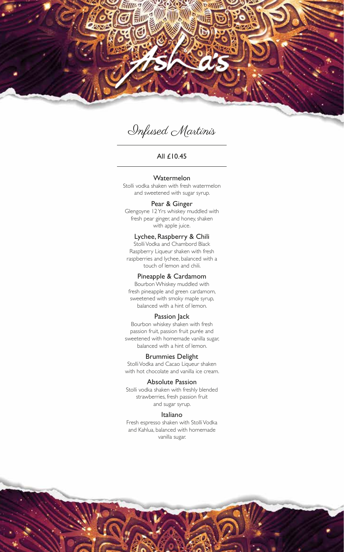

# Infused Martinis

## All £10.45

Watermelon Stolli vodka shaken with fresh watermelon

and sweetened with sugar syrup.

Pear & Ginger Glengoyne 12 Yrs whiskey muddled with fresh pear ginger, and honey, shaken with apple juice.

Lychee, Raspberry & Chili Stolli Vodka and Chambord Black Raspberry Liqueur shaken with fresh raspberries and lychee, balanced with a touch of lemon and chili.

# Pineapple & Cardamom

Bourbon Whiskey muddled with fresh pineapple and green cardamom, sweetened with smoky maple syrup, balanced with a hint of lemon.

#### Passion Jack

Bourbon whiskey shaken with fresh passion fruit, passion fruit purée and sweetened with homemade vanilla sugar, balanced with a hint of lemon.

#### Brummies Delight

Stolli Vodka and Cacao Liqueur shaken with hot chocolate and vanilla ice cream.

#### Absolute Passion

Stolli vodka shaken with freshly blended strawberries, fresh passion fruit and sugar syrup.

#### Italiano

Fresh espresso shaken with Stolli Vodka and Kahlua, balanced with homemade vanilla sugar.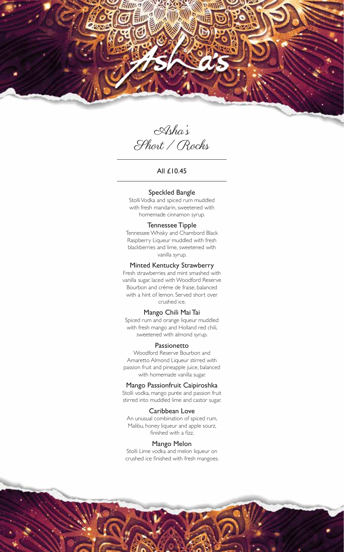

Asha's Short / Rocks

All £10.45

#### Speckled Bangle

Stolli Vodka and spiced rum muddled with fresh mandarin, sweetened with homemade cinnamon syrup.

#### Tennessee Tipple

Tennessee Whisky and Chambord Black Raspberry Liqueur muddled with fresh blackberries and lime, sweetened with vanilla syrup.

#### Minted Kentucky Strawberry

Fresh strawberries and mint smashed with vanilla sugar, laced with Woodford Reserve Bourbon and crème de fraise, balanced with a hint of lemon. Served short over crushed ice.

#### Mango Chili Mai Tai

Spiced rum and orange liqueur muddled with fresh mango and Holland red chili, sweetened with almond syrup.

#### Passionetto

Woodford Reserve Bourbon and Amaretto Almond Liqueur stirred with passion fruit and pineapple juice, balanced with homemade vanilla sugar.

#### Mango Passionfruit Caipiroshka

Stolli vodka, mango purée and passion fruit stirred into muddled lime and castor sugar.

#### Caribbean Love

An unusual combination of spiced rum, Malibu, honey liqueur and apple sourz, finished with a fizz.

#### Mango Melon

Stolli Lime vodka and melon liqueur on crushed ice finished with fresh mangoes.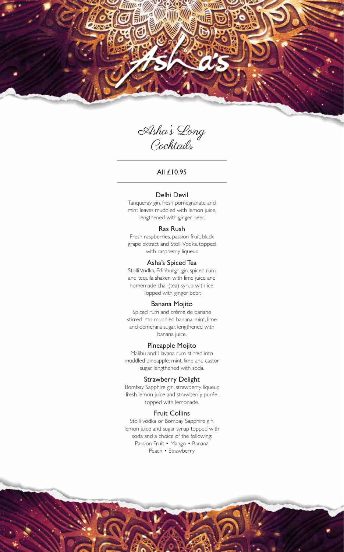

Asha's Long Cocktails

All £10.95

#### Delhi Devil

Tanqueray gin, fresh pomegranate and mint leaves muddled with lemon juice, lengthened with ginger beer.

#### Ras Rush

Fresh raspberries, passion fruit, black grape extract and Stolli Vodka, topped with raspberry liqueur.

#### Asha's Spiced Tea

Stolli Vodka, Edinburgh gin, spiced rum and tequila shaken with lime juice and homemade chai (tea) syrup with ice. Topped with ginger beer.

# Banana Mojito

Spiced rum and crème de banane stirred into muddled banana, mint, lime and demerara sugar, lengthened with banana juice.

#### Pineapple Mojito

Malibu and Havana rum stirred into muddled pineapple, mint, lime and castor sugar, lengthened with soda.

#### Strawberry Delight

Bombay Sapphire gin, strawberry liqueur, fresh lemon juice and strawberry purée, topped with lemonade.

#### Fruit Collins

Stolli vodka or Bombay Sapphire gin, lemon juice and sugar syrup topped with soda and a choice of the following: Passion Fruit • Mango • Banana Peach • Strawberry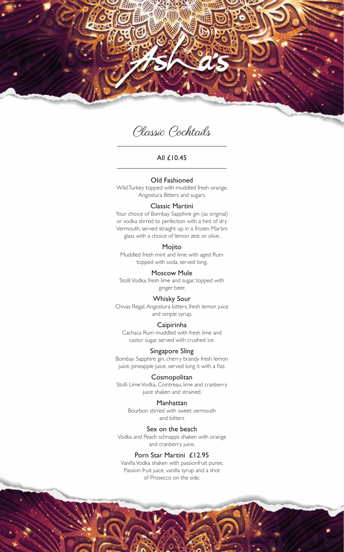

Classic Cocktails

#### All £10.45

#### Old Fashioned

Wild Turkey topped with muddled fresh orange, Angostura Bitters and sugars.

#### Classic Martini

Your choice of Bombay Sapphire gin (as original) or vodka stirred to perfection with a hint of dry Vermouth, served straight up in a frozen Martini glass with a choice of lemon zest or olive.

# Mojito

Muddled fresh mint and lime with aged Rum topped with soda, served long.

#### Moscow Mule

Stolli Vodka, fresh lime and sugar, topped with ginger beer.

#### Whisky Sour

Chivas Regal, Angostura bitters, fresh lemon juice and simple syrup.

#### Caipirinha

Cachaca Rum muddled with fresh lime and castor sugar, served with crushed ice.

## Singapore Sling

Bombay Sapphire gin, cherry brandy fresh lemon juice, pineapple juice, served long it with a fizz.

#### Cosmopolitan

Stolli Lime Vodka, Cointreau, lime and cranberry juice shaken and strained.

#### Manhattan

Bourbon stirred with sweet vermouth and bitters

#### Sex on the beach

Vodka and Peach schnapps shaken with orange and cranberry juice.

# Porn Star Martini £12.95

Vanilla Vodka shaken with passionfruit puree, Passion fruit juice, vanilla syrup and a shot of Prosecco on the side.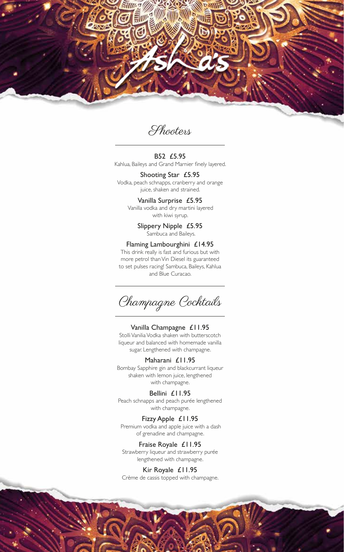

Shooters

#### B52 £5.95 Kahlua, Baileys and Grand Marnier finely layered.

Shooting Star £5.95 Vodka, peach schnapps, cranberry and orange juice, shaken and strained.

> Vanilla Surprise £5.95 Vanilla vodka and dry martini layered with kiwi syrup.

> > Slippery Nipple £5.95 Sambuca and Baileys.

#### Flaming Lambourghini £14.95

This drink really is fast and furious but with more petrol than Vin Diesel its guaranteed to set pulses racing! Sambuca, Baileys, Kahlua and Blue Curacao.

Champagne Cocktails

#### Vanilla Champagne £11.95

Stolli Vanilia Vodka shaken with butterscotch liqueur and balanced with homemade vanilla sugar. Lengthened with champagne.

#### Maharani £11.95

Bombay Sapphire gin and blackcurrant liqueur shaken with lemon juice, lengthened with champagne.

Bellini £11.95 Peach schnapps and peach purée lengthened with champagne.

# Fizzy Apple £11.95

 Premium vodka and apple juice with a dash of grenadine and champagne.

Fraise Royale £11.95

Strawberry liqueur and strawberry purée lengthened with champagne.

#### Kir Royale £11.95

Crème de cassis topped with champagne.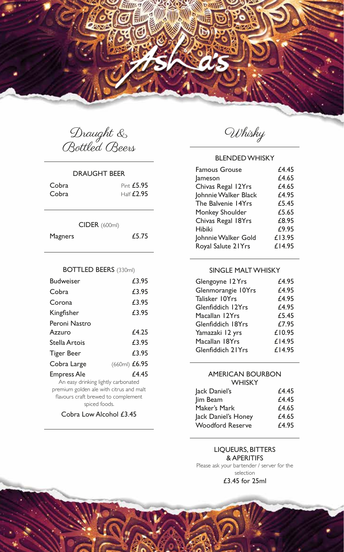

Draught & Bottled Beers

#### DRAUGHT BEER

| Cobra | Pint £5.95            |
|-------|-----------------------|
| Cobra | $H\text{alf}$ $E2.95$ |

# CIDER (600ml)

| Magners |  | £5.75 |
|---------|--|-------|
|---------|--|-------|

## BOTTLED BEERS (330ml)

| <b>Budweiser</b>                        | £3.95           |
|-----------------------------------------|-----------------|
| Cobra                                   | £3.95           |
| Corona                                  | £3.95           |
| Kingfisher                              | £3.95           |
| Peroni Nastro                           |                 |
| Azzuro                                  | £4.25           |
| Stella Artois                           | £3.95           |
| Tiger Beer                              | £3.95           |
| Cobra Large                             | $(660ml)$ £6.95 |
| <b>Empress Ale</b>                      | £4.45           |
| An easy drinking lightly carbonated     |                 |
| premium golden ale with citrus and malt |                 |

flavours craft brewed to complement spiced foods.

Cobra Low Alcohol £3.45

Whisky

# BLENDED WHISKY

| <b>Famous Grouse</b> | £4.45  |
|----------------------|--------|
| lameson              | £4.65  |
| Chivas Regal 12Yrs   | £4.65  |
| Johnnie Walker Black | £4.95  |
| The Balvenie 14Yrs   | £5.45  |
| Monkey Shoulder      | £5.65  |
| Chivas Regal 18Yrs   | £8.95  |
| Hibiki               | £9.95  |
| Johnnie Walker Gold  | £13.95 |
| Royal Salute 21Yrs   | £14.95 |
|                      |        |

# SINGLE MALT WHISKY

| Glengoyne 12 Yrs   | £4.95  |
|--------------------|--------|
| Glenmorangie 10Yrs | £4.95  |
| Talisker 10Yrs     | £4.95  |
| Glenfiddich 12Yrs  | £4.95  |
| Macallan 12Yrs     | £5.45  |
| Glenfiddich 18Yrs  | £7.95  |
| Yamazaki 12 yrs    | £10.95 |
| Macallan 18Yrs     | £14.95 |
| Glenfiddich 21Yrs  | £14.95 |

# AMERICAN BOURBON **WHISKY**

| Jack Daniel's           | £4.45 |
|-------------------------|-------|
| Jim Beam                | £4.45 |
| Maker's Mark            | £4.65 |
| Jack Daniel's Honey     | £4.65 |
| <b>Woodford Reserve</b> | £4.95 |

# LIQUEURS, BITTERS & APERITIFS

Please ask your bartender / server for the selection £3.45 for 25ml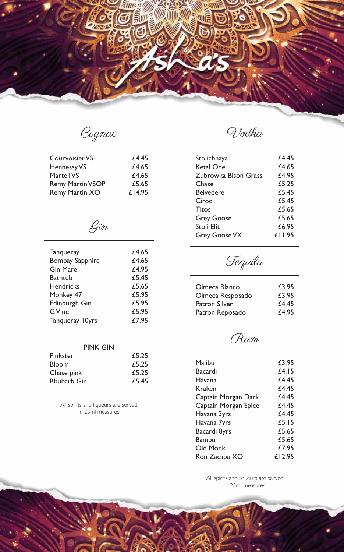

Cognac

| Courvoisier VS          | £4.45  |
|-------------------------|--------|
| Hennessy VS             | £4.65  |
| Martell VS              | £4.65  |
| <b>Remy Martin VSOP</b> | £5.65  |
| <b>Remy Martin XO</b>   | £14.95 |
|                         |        |

Gin

| Tanqueray<br><b>Bombay Sapphire</b> | £4.65<br>£4.65 |
|-------------------------------------|----------------|
| <b>Gin Mare</b>                     | £4.95          |
| Bathtub                             | £5.45          |
| <b>Hendricks</b>                    | £5.65          |
| Monkey 47                           | £5.95          |
| Edinburgh Gin                       | £5.95          |
| <b>G</b> Vine                       | £5.95          |
| Tanqueray 10yrs                     | £7.95          |
|                                     |                |

| PINK GIN     |       |
|--------------|-------|
| Pinkster     | £5.25 |
| <b>Bloom</b> | £5.25 |
| Chase pink   | £5.25 |

All spirits and liqueurs are served in 25ml measures

Rhubarb Gin **£5.45** 

Vodka

| f4.45  |
|--------|
| £4.65  |
| f4.95  |
| £5.25  |
| £5.45  |
| £5.45  |
| £5.65  |
| £5.65  |
| £6.95  |
| £11.95 |
|        |

Tequila

| Olmeca Blanco    | £3.95 |
|------------------|-------|
| Olmeca Resposado | £3.95 |
| Patron Silver    | £4.45 |
| Patron Reposado  | £4.95 |
|                  |       |

Rum

| Malibu               | £3.95         |
|----------------------|---------------|
| Bacardi              | <i>f</i> 4.15 |
| Havana               | f4.45         |
| Kraken               | f4.45         |
| Captain Morgan Dark  | f4.45         |
| Captain Morgan Spice | f4.45         |
| Havana 3yrs          | f4.45         |
| Havana 7yrs          | f 5. I 5      |
| Bacardi 8yrs         | £5.65         |
| Bambu                | £5.65         |
| Old Monk             | £7.95         |
| Ron Zacapa XO        | £12.95        |
|                      |               |

All spirits and liqueurs are served in 25ml measures